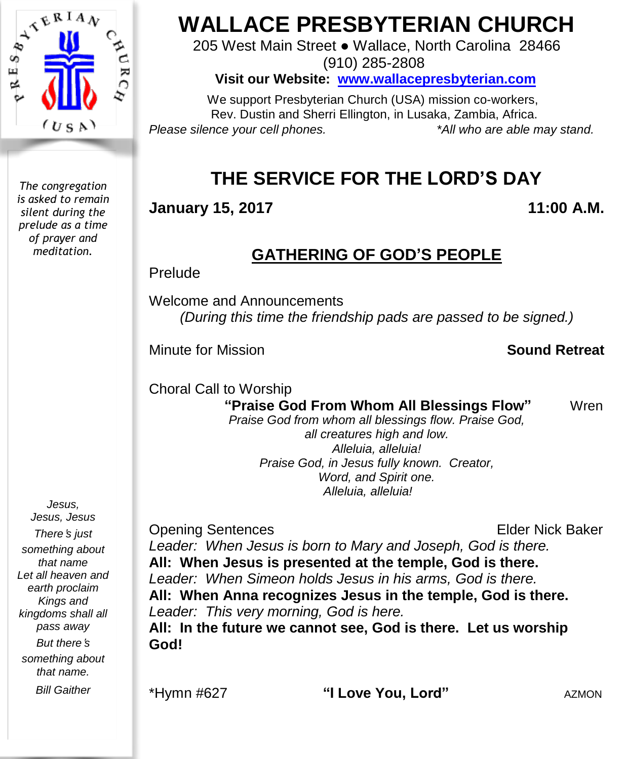

*The congregation is asked to remain silent during the prelude as a time of prayer and meditation.*

# **WALLACE PRESBYTERIAN CHURCH**

205 West Main Street ● Wallace, North Carolina 28466 (910) 285-2808

**Visit our Website: [www.wallacepresbyterian.com](http://www.wallacepresbyterian.com/)**

 We support Presbyterian Church (USA) mission co-workers, Rev. Dustin and Sherri Ellington, in Lusaka, Zambia, Africa. *Please silence your cell phones. \*All who are able may stand.*

# **THE SERVICE FOR THE LORD'S DAY**

**January 15, 2017 11:00 A.M.**

# **GATHERING OF GOD'S PEOPLE**

Prelude

Welcome and Announcements *(During this time the friendship pads are passed to be signed.)*

Minute for Mission **Sound Retreat**

Choral Call to Worship

**"Praise God From Whom All Blessings Flow"** Wren

*Praise God from whom all blessings flow. Praise God, all creatures high and low. Alleluia, alleluia! Praise God, in Jesus fully known. Creator, Word, and Spirit one. Alleluia, alleluia!* 

Opening Sentences **Elder Nick Baker** *Leader: When Jesus is born to Mary and Joseph, God is there.* **All: When Jesus is presented at the temple, God is there.** *Leader: When Simeon holds Jesus in his arms, God is there.* **All: When Anna recognizes Jesus in the temple, God is there.** *Leader: This very morning, God is here.* **All: In the future we cannot see, God is there. Let us worship God!**

*But there*'*s something about that name. Bill Gaither*

*Jesus, Jesus, Jesus There*'*s just something about that name Let all heaven and earth proclaim Kings and kingdoms shall all pass away*

\*Hymn #627 **"I Love You, Lord"** AZMON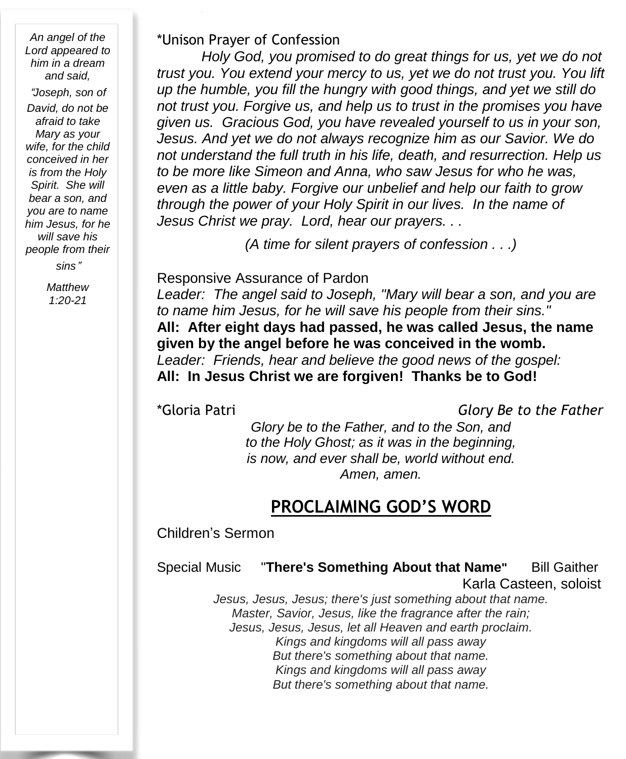*An angel of the Lord appeared to him in a dream and said,*

"*Joseph, son of David, do not be afraid to take Mary as your wife, for the child conceived in her is from the Holy Spirit. She will bear a son, and you are to name him Jesus, for he will save his people from their*

*sins*"

*Matthew 1:20-21*

\*Unison Prayer of Confession

*Holy God, you promised to do great things for us, yet we do not trust you. You extend your mercy to us, yet we do not trust you. You lift up the humble, you fill the hungry with good things, and yet we still do not trust you. Forgive us, and help us to trust in the promises you have given us. Gracious God, you have revealed yourself to us in your son, Jesus. And yet we do not always recognize him as our Savior. We do not understand the full truth in his life, death, and resurrection. Help us to be more like Simeon and Anna, who saw Jesus for who he was, even as a little baby. Forgive our unbelief and help our faith to grow through the power of your Holy Spirit in our lives. In the name of Jesus Christ we pray. Lord, hear our prayers. . .*

*(A time for silent prayers of confession . . .)*

#### Responsive Assurance of Pardon

*Leader: The angel said to Joseph, "Mary will bear a son, and you are to name him Jesus, for he will save his people from their sins."* **All: After eight days had passed, he was called Jesus, the name given by the angel before he was conceived in the womb.** *Leader: Friends, hear and believe the good news of the gospel:* **All: In Jesus Christ we are forgiven! Thanks be to God!**

\*Gloria Patri *Glory Be to the Father*

*Glory be to the Father, and to the Son, and to the Holy Ghost; as it was in the beginning, is now, and ever shall be, world without end. Amen, amen.*

## **PROCLAIMING GOD'S WORD**

Children's Sermon

Special Music"**There's Something About that Name"** Bill Gaither

Karla Casteen, soloist

*Jesus, Jesus, Jesus; there's just something about that name. Master, Savior, Jesus, like the fragrance after the rain; Jesus, Jesus, Jesus, let all Heaven and earth proclaim. Kings and kingdoms will all pass away But there's something about that name. Kings and kingdoms will all pass away But there's something about that name.*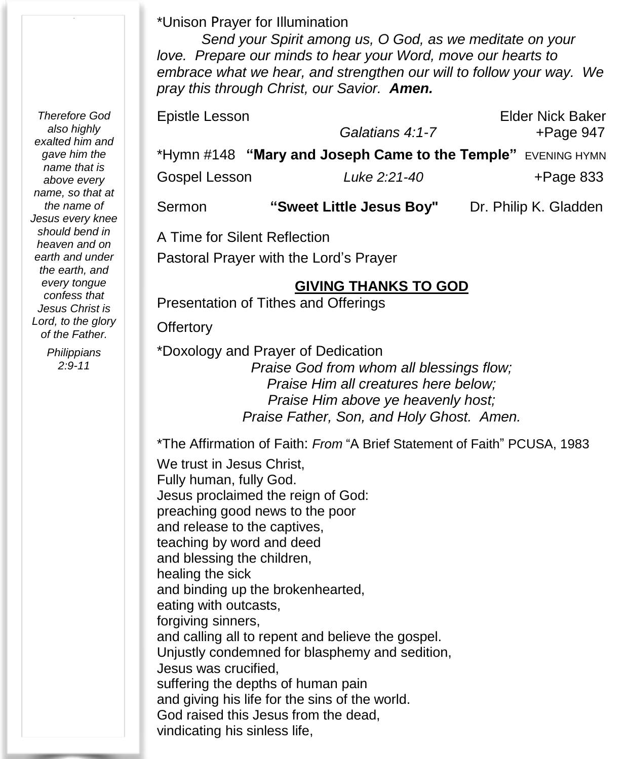### \*Unison Prayer for Illumination

*Send your Spirit among us, O God, as we meditate on your love. Prepare our minds to hear your Word, move our hearts to embrace what we hear, and strengthen our will to follow your way. We pray this through Christ, our Savior. Amen.*

| Epistle Lesson               |                                                 | <b>Elder Nick Baker</b> |  |  |  |
|------------------------------|-------------------------------------------------|-------------------------|--|--|--|
|                              | Galatians 4:1-7                                 | $+$ Page 947            |  |  |  |
|                              | *Hymn #148 "Mary and Joseph Came to the Temple" | <b>EVENING HYMN</b>     |  |  |  |
| Gospel Lesson                | Luke 2:21-40                                    | $+$ Page 833            |  |  |  |
| Sermon                       | "Sweet Little Jesus Boy"                        | Dr. Philip K. Gladden   |  |  |  |
| A Time for Cilopt Deflootion |                                                 |                         |  |  |  |

A Time for Silent Reflection

Pastoral Prayer with the Lord's Prayer

### **GIVING THANKS TO GOD**

Presentation of Tithes and Offerings

**Offertory** 

\*Doxology and Prayer of Dedication *Praise God from whom all blessings flow; Praise Him all creatures here below; Praise Him above ye heavenly host; Praise Father, Son, and Holy Ghost. Amen.*

\*The Affirmation of Faith: *From* "A Brief Statement of Faith" PCUSA, 1983

We trust in Jesus Christ, Fully human, fully God. Jesus proclaimed the reign of God: preaching good news to the poor and release to the captives, teaching by word and deed and blessing the children, healing the sick and binding up the brokenhearted, eating with outcasts, forgiving sinners, and calling all to repent and believe the gospel. Unjustly condemned for blasphemy and sedition, Jesus was crucified, suffering the depths of human pain and giving his life for the sins of the world. God raised this Jesus from the dead, vindicating his sinless life,

*Therefore God also highly exalted him and gave him the name that is above every name, so that at the name of Jesus every knee should bend in heaven and on earth and under the earth, and every tongue confess that Jesus Christ is Lord, to the glory of the Father.*

> *Philippians 2:9-11*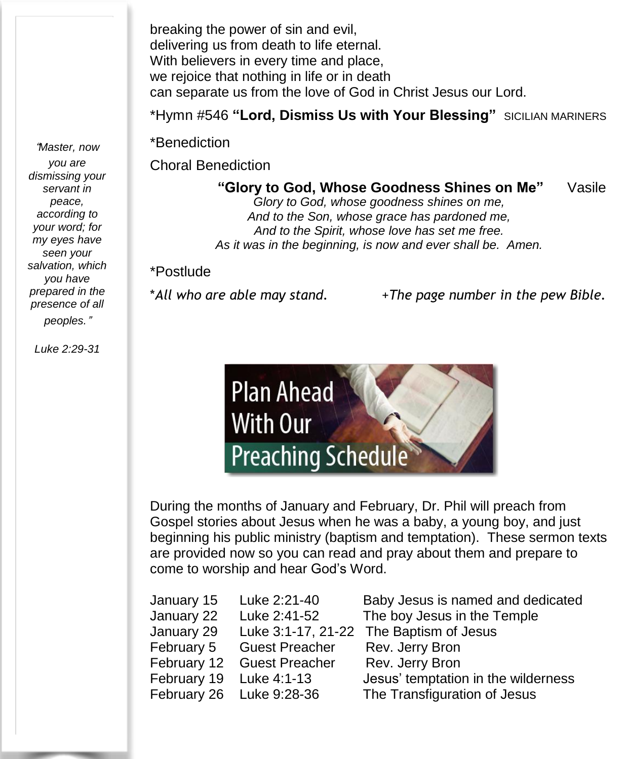breaking the power of sin and evil, delivering us from death to life eternal. With believers in every time and place, we rejoice that nothing in life or in death can separate us from the love of God in Christ Jesus our Lord.

\*Hymn #546 **"Lord, Dismiss Us with Your Blessing"** SICILIAN MARINERS

\*Benediction

Choral Benediction Ĭ

**"Glory to God, Whose Goodness Shines on Me"** Vasile

*Glory to God, whose goodness shines on me, And to the Son, whose grace has pardoned me, And to the Spirit, whose love has set me free. As it was in the beginning, is now and ever shall be. Amen.* 

#### \*Postlude

\**All who are able may stand.* +*The page number in the pew Bible.*



During the months of January and February, Dr. Phil will preach from Gospel stories about Jesus when he was a baby, a young boy, and just beginning his public ministry (baptism and temptation). These sermon texts are provided now so you can read and pray about them and prepare to come to worship and hear God's Word.

| January 15              | Luke 2:21-40             | Baby Jesus is named and dedicated   |
|-------------------------|--------------------------|-------------------------------------|
| January 22              | Luke 2:41-52             | The boy Jesus in the Temple         |
| January 29              | Luke 3:1-17, 21-22       | The Baptism of Jesus                |
| February 5              | <b>Guest Preacher</b>    | Rev. Jerry Bron                     |
| February 12             | <b>Guest Preacher</b>    | Rev. Jerry Bron                     |
| February 19 Luke 4:1-13 |                          | Jesus' temptation in the wilderness |
|                         | February 26 Luke 9:28-36 | The Transfiguration of Jesus        |
|                         |                          |                                     |

"*Master, now you are dismissing your servant in peace, according to your word; for my eyes have seen your salvation, which you have prepared in the presence of all peoples.*"

*Luke 2:29-31*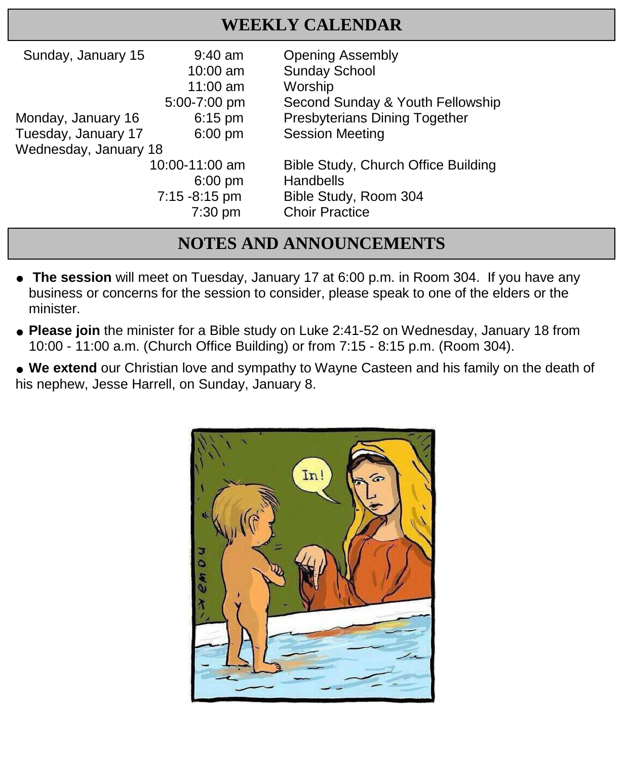# **WEEKLY CALENDAR**

| Sunday, January 15    | $9:40$ am      | <b>Opening Assembly</b>              |
|-----------------------|----------------|--------------------------------------|
|                       | $10:00$ am     | <b>Sunday School</b>                 |
|                       | 11:00 $am$     | Worship                              |
|                       | 5:00-7:00 pm   | Second Sunday & Youth Fellowship     |
| Monday, January 16    | $6:15$ pm      | <b>Presbyterians Dining Together</b> |
| Tuesday, January 17   | $6:00$ pm      | <b>Session Meeting</b>               |
| Wednesday, January 18 |                |                                      |
|                       | 10:00-11:00 am | Bible Study, Church Office Building  |
|                       | $6:00$ pm      | Handbells                            |
|                       | 7:15 -8:15 pm  | Bible Study, Room 304                |
|                       | $7:30$ pm      | <b>Choir Practice</b>                |

# **NOTES AND ANNOUNCEMENTS**

- **The session** will meet on Tuesday, January 17 at 6:00 p.m. in Room 304. If you have any business or concerns for the session to consider, please speak to one of the elders or the minister.
- **Please join** the minister for a Bible study on Luke 2:41-52 on Wednesday, January 18 from 10:00 - 11:00 a.m. (Church Office Building) or from 7:15 - 8:15 p.m. (Room 304).

● **We extend** our Christian love and sympathy to Wayne Casteen and his family on the death of his nephew, Jesse Harrell, on Sunday, January 8.